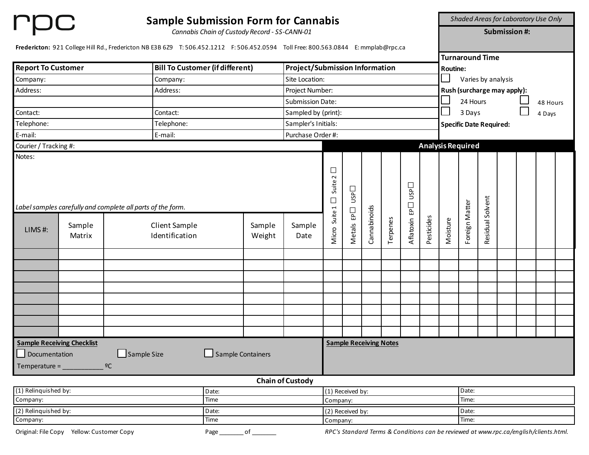| rpc                                               |                                   |                                                                                                                                    | <b>Sample Submission Form for Cannabis</b><br>Cannabis Chain of Custody Record - SS-CANN-01 |                                                                 |                                                                                       |                  |              |                    | Shaded Areas for Laboratory Use Only |                             |                                |                |                        |  |  |  |  |
|---------------------------------------------------|-----------------------------------|------------------------------------------------------------------------------------------------------------------------------------|---------------------------------------------------------------------------------------------|-----------------------------------------------------------------|---------------------------------------------------------------------------------------|------------------|--------------|--------------------|--------------------------------------|-----------------------------|--------------------------------|----------------|------------------------|--|--|--|--|
|                                                   |                                   |                                                                                                                                    |                                                                                             |                                                                 |                                                                                       |                  |              | Submission #:      |                                      |                             |                                |                |                        |  |  |  |  |
|                                                   |                                   | Fredericton: 921 College Hill Rd., Fredericton NB E3B 6Z9 T: 506.452.1212 F: 506.452.0594 Toll Free: 800.563.0844 E: mmplab@rpc.ca |                                                                                             |                                                                 |                                                                                       |                  |              |                    |                                      |                             |                                |                |                        |  |  |  |  |
|                                                   |                                   |                                                                                                                                    |                                                                                             |                                                                 |                                                                                       |                  |              |                    |                                      |                             |                                |                | <b>Turnaround Time</b> |  |  |  |  |
| <b>Report To Customer</b>                         |                                   | <b>Bill To Customer (if different)</b>                                                                                             |                                                                                             | <b>Project/Submission Information</b>                           |                                                                                       |                  |              |                    |                                      |                             | <b>Routine:</b>                |                |                        |  |  |  |  |
| Company:                                          |                                   | Company:                                                                                                                           |                                                                                             | Site Location:                                                  |                                                                                       |                  |              | Varies by analysis |                                      |                             |                                |                |                        |  |  |  |  |
| Address:                                          |                                   | Address:                                                                                                                           |                                                                                             | Project Number:                                                 |                                                                                       |                  |              |                    |                                      | Rush (surcharge may apply): |                                |                |                        |  |  |  |  |
|                                                   |                                   |                                                                                                                                    |                                                                                             | $\overline{\phantom{a}}$<br>24 Hours<br><b>Submission Date:</b> |                                                                                       |                  |              |                    |                                      |                             |                                | 48 Hours       |                        |  |  |  |  |
| Contact:                                          |                                   | Contact:                                                                                                                           |                                                                                             | Sampled by (print):                                             |                                                                                       |                  |              |                    |                                      | 3 Days<br>4 Days            |                                |                |                        |  |  |  |  |
| Telephone:                                        |                                   | Telephone:                                                                                                                         |                                                                                             | Sampler's Initials:                                             |                                                                                       |                  |              |                    |                                      |                             | <b>Specific Date Required:</b> |                |                        |  |  |  |  |
| E-mail:                                           |                                   | E-mail:                                                                                                                            |                                                                                             | Purchase Order #:                                               |                                                                                       |                  |              |                    |                                      |                             |                                |                |                        |  |  |  |  |
| Courier / Tracking #:                             |                                   |                                                                                                                                    |                                                                                             |                                                                 |                                                                                       |                  |              |                    |                                      |                             | <b>Analysis Required</b>       |                |                        |  |  |  |  |
| Notes:                                            |                                   |                                                                                                                                    |                                                                                             |                                                                 |                                                                                       |                  |              |                    |                                      |                             |                                |                |                        |  |  |  |  |
|                                                   |                                   |                                                                                                                                    |                                                                                             |                                                                 | $\Box$                                                                                |                  |              |                    |                                      |                             |                                |                |                        |  |  |  |  |
|                                                   |                                   |                                                                                                                                    |                                                                                             |                                                                 | Suite 2                                                                               |                  |              |                    |                                      |                             |                                |                |                        |  |  |  |  |
|                                                   |                                   |                                                                                                                                    |                                                                                             |                                                                 |                                                                                       | ΠdSh             |              |                    | $\Box$<br><b>SP</b>                  |                             |                                |                |                        |  |  |  |  |
|                                                   |                                   | Label samples carefully and complete all parts of the form.                                                                        |                                                                                             |                                                                 | $\Box$                                                                                |                  |              |                    | $\Box$                               |                             |                                |                |                        |  |  |  |  |
|                                                   |                                   |                                                                                                                                    |                                                                                             |                                                                 | Micro Suite 1                                                                         | Metals $EP$ $1$  | Cannabinoids |                    |                                      |                             |                                | Foreign Matter | Residual Solvent       |  |  |  |  |
| LIMS#:                                            | Sample                            | <b>Client Sample</b>                                                                                                               | Sample                                                                                      | Sample                                                          |                                                                                       |                  |              | Terpenes           | Aflatoxin EP                         | Pesticides                  | Moisture                       |                |                        |  |  |  |  |
|                                                   | Matrix                            | Identification                                                                                                                     | Weight                                                                                      | Date                                                            |                                                                                       |                  |              |                    |                                      |                             |                                |                |                        |  |  |  |  |
|                                                   |                                   |                                                                                                                                    |                                                                                             |                                                                 |                                                                                       |                  |              |                    |                                      |                             |                                |                |                        |  |  |  |  |
|                                                   |                                   |                                                                                                                                    |                                                                                             |                                                                 |                                                                                       |                  |              |                    |                                      |                             |                                |                |                        |  |  |  |  |
|                                                   |                                   |                                                                                                                                    |                                                                                             |                                                                 |                                                                                       |                  |              |                    |                                      |                             |                                |                |                        |  |  |  |  |
|                                                   |                                   |                                                                                                                                    |                                                                                             |                                                                 |                                                                                       |                  |              |                    |                                      |                             |                                |                |                        |  |  |  |  |
|                                                   |                                   |                                                                                                                                    |                                                                                             |                                                                 |                                                                                       |                  |              |                    |                                      |                             |                                |                |                        |  |  |  |  |
|                                                   |                                   |                                                                                                                                    |                                                                                             |                                                                 |                                                                                       |                  |              |                    |                                      |                             |                                |                |                        |  |  |  |  |
|                                                   |                                   |                                                                                                                                    |                                                                                             |                                                                 |                                                                                       |                  |              |                    |                                      |                             |                                |                |                        |  |  |  |  |
|                                                   |                                   |                                                                                                                                    |                                                                                             |                                                                 |                                                                                       |                  |              |                    |                                      |                             |                                |                |                        |  |  |  |  |
|                                                   | <b>Sample Receiving Checklist</b> |                                                                                                                                    |                                                                                             |                                                                 |                                                                                       |                  |              |                    |                                      |                             |                                |                |                        |  |  |  |  |
| Documentation                                     |                                   | Sample Size                                                                                                                        | Sample Containers                                                                           |                                                                 | <b>Sample Receiving Notes</b>                                                         |                  |              |                    |                                      |                             |                                |                |                        |  |  |  |  |
| Temperature $=$                                   |                                   | $\overline{6}$                                                                                                                     |                                                                                             |                                                                 |                                                                                       |                  |              |                    |                                      |                             |                                |                |                        |  |  |  |  |
|                                                   |                                   |                                                                                                                                    |                                                                                             | <b>Chain of Custody</b>                                         |                                                                                       |                  |              |                    |                                      |                             |                                |                |                        |  |  |  |  |
| (1) Relinquished by:                              |                                   | Date:                                                                                                                              |                                                                                             |                                                                 |                                                                                       | (1) Received by: |              |                    |                                      |                             |                                | Date:          |                        |  |  |  |  |
| Company:                                          |                                   | Time                                                                                                                               |                                                                                             |                                                                 | Company:                                                                              |                  |              |                    |                                      |                             | Time:                          |                |                        |  |  |  |  |
| (2) Relinquished by:                              |                                   | Date:                                                                                                                              |                                                                                             |                                                                 |                                                                                       | (2) Received by: |              |                    |                                      |                             | Date:                          |                |                        |  |  |  |  |
| Company:                                          |                                   | Time                                                                                                                               |                                                                                             |                                                                 | Company:                                                                              |                  |              |                    |                                      |                             |                                | Time:          |                        |  |  |  |  |
| Original: File Copy Yellow: Customer Copy<br>Page |                                   |                                                                                                                                    | of                                                                                          |                                                                 | RPC's Standard Terms & Conditions can be reviewed at www.rpc.ca/english/clients.html. |                  |              |                    |                                      |                             |                                |                |                        |  |  |  |  |